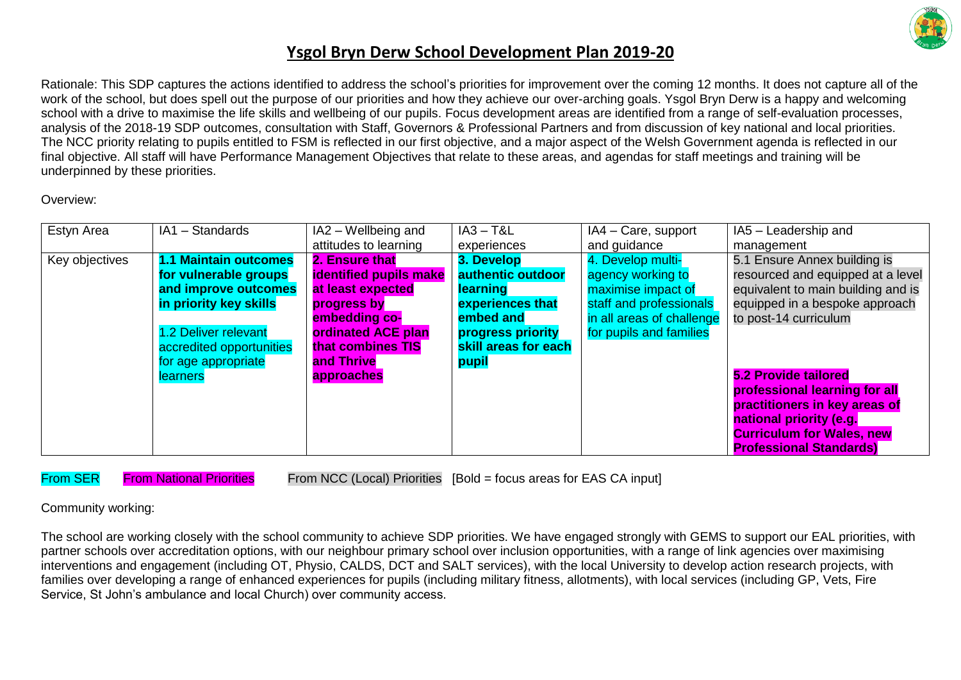

Rationale: This SDP captures the actions identified to address the school's priorities for improvement over the coming 12 months. It does not capture all of the work of the school, but does spell out the purpose of our priorities and how they achieve our over-arching goals. Ysgol Bryn Derw is a happy and welcoming school with a drive to maximise the life skills and wellbeing of our pupils. Focus development areas are identified from a range of self-evaluation processes, analysis of the 2018-19 SDP outcomes, consultation with Staff, Governors & Professional Partners and from discussion of key national and local priorities. The NCC priority relating to pupils entitled to FSM is reflected in our first objective, and a major aspect of the Welsh Government agenda is reflected in our final objective. All staff will have Performance Management Objectives that relate to these areas, and agendas for staff meetings and training will be underpinned by these priorities.

#### Overview:

| Estyn Area     | IA1 - Standards          | IA2 - Wellbeing and           | $IA3 - T&L$          | IA4 - Care, support       | IA5 - Leadership and               |
|----------------|--------------------------|-------------------------------|----------------------|---------------------------|------------------------------------|
|                |                          | attitudes to learning         | experiences          | and guidance              | management                         |
| Key objectives | 1.1 Maintain outcomes    | 2. Ensure that                | 3. Develop           | 4. Develop multi-         | 5.1 Ensure Annex building is       |
|                | for vulnerable groups    | <b>identified pupils make</b> | authentic outdoor    | agency working to         | resourced and equipped at a level  |
|                | and improve outcomes     | at least expected             | learning             | maximise impact of        | equivalent to main building and is |
|                | in priority key skills   | progress by                   | experiences that     | staff and professionals   | equipped in a bespoke approach     |
|                |                          | embedding co-                 | embed and            | in all areas of challenge | to post-14 curriculum              |
|                | .2 Deliver relevant      | ordinated ACE plan            | progress priority    | for pupils and families   |                                    |
|                | accredited opportunities | that combines TIS             | skill areas for each |                           |                                    |
|                | for age appropriate      | and Thrive                    | pupil                |                           |                                    |
|                | <b>learners</b>          | approaches                    |                      |                           | <b>5.2 Provide tailored</b>        |
|                |                          |                               |                      |                           | professional learning for all      |
|                |                          |                               |                      |                           | practitioners in key areas of      |
|                |                          |                               |                      |                           | national priority (e.g.            |
|                |                          |                               |                      |                           | <b>Curriculum for Wales, new</b>   |
|                |                          |                               |                      |                           | <b>Professional Standards)</b>     |

From SER From National Priorities From NCC (Local) Priorities [Bold = focus areas for EAS CA input]

Community working:

The school are working closely with the school community to achieve SDP priorities. We have engaged strongly with GEMS to support our EAL priorities, with partner schools over accreditation options, with our neighbour primary school over inclusion opportunities, with a range of link agencies over maximising interventions and engagement (including OT, Physio, CALDS, DCT and SALT services), with the local University to develop action research projects, with families over developing a range of enhanced experiences for pupils (including military fitness, allotments), with local services (including GP, Vets, Fire Service, St John's ambulance and local Church) over community access.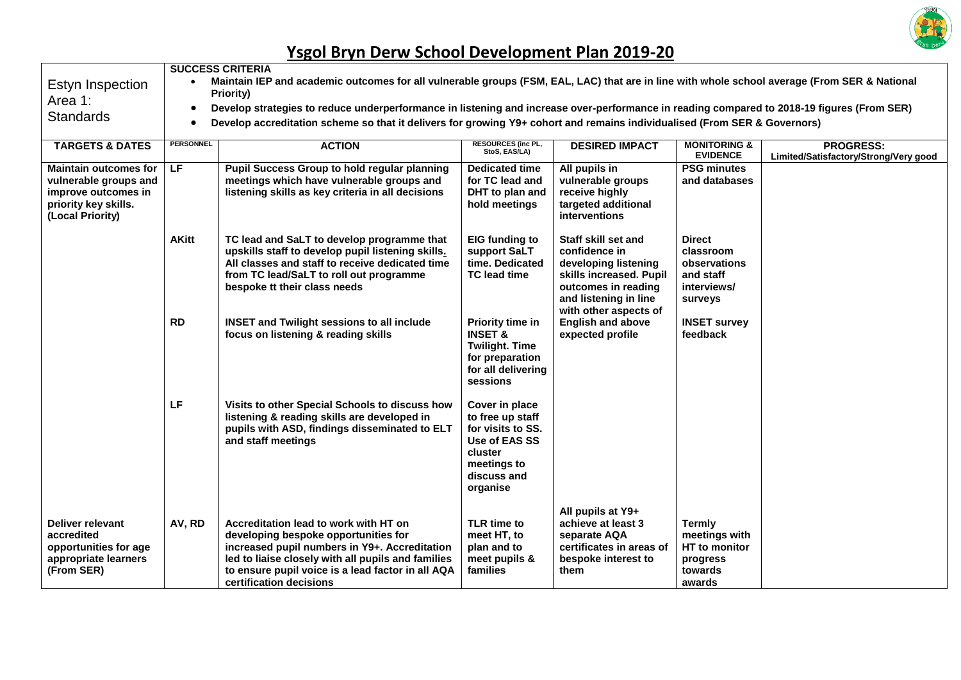

| Estyn Inspection<br>Area 1:<br><b>Standards</b>                                                                          | <b>SUCCESS CRITERIA</b><br>Maintain IEP and academic outcomes for all vulnerable groups (FSM, EAL, LAC) that are in line with whole school average (From SER & National<br>Priority)<br>Develop strategies to reduce underperformance in listening and increase over-performance in reading compared to 2018-19 figures (From SER)<br>$\bullet$<br>Develop accreditation scheme so that it delivers for growing Y9+ cohort and remains individualised (From SER & Governors)<br>$\bullet$ |                                                                                                                                                                                                                                                                      |                                                                                                                               |                                                                                                                                                                  |                                                                                   |                                                           |  |
|--------------------------------------------------------------------------------------------------------------------------|-------------------------------------------------------------------------------------------------------------------------------------------------------------------------------------------------------------------------------------------------------------------------------------------------------------------------------------------------------------------------------------------------------------------------------------------------------------------------------------------|----------------------------------------------------------------------------------------------------------------------------------------------------------------------------------------------------------------------------------------------------------------------|-------------------------------------------------------------------------------------------------------------------------------|------------------------------------------------------------------------------------------------------------------------------------------------------------------|-----------------------------------------------------------------------------------|-----------------------------------------------------------|--|
| <b>TARGETS &amp; DATES</b>                                                                                               | <b>PERSONNEL</b>                                                                                                                                                                                                                                                                                                                                                                                                                                                                          | <b>ACTION</b>                                                                                                                                                                                                                                                        | <b>RESOURCES (inc PL,</b><br>StoS, EAS/LA)                                                                                    | <b>DESIRED IMPACT</b>                                                                                                                                            | <b>MONITORING &amp;</b><br><b>EVIDENCE</b>                                        | <b>PROGRESS:</b><br>Limited/Satisfactory/Strong/Very good |  |
| <b>Maintain outcomes for</b><br>vulnerable groups and<br>improve outcomes in<br>priority key skills.<br>(Local Priority) | $\overline{\mathsf{LF}}$                                                                                                                                                                                                                                                                                                                                                                                                                                                                  | <b>Pupil Success Group to hold regular planning</b><br>meetings which have vulnerable groups and<br>listening skills as key criteria in all decisions                                                                                                                | <b>Dedicated time</b><br>for TC lead and<br>DHT to plan and<br>hold meetings                                                  | All pupils in<br>vulnerable groups<br>receive highly<br>targeted additional<br>interventions                                                                     | <b>PSG minutes</b><br>and databases                                               |                                                           |  |
|                                                                                                                          | <b>AKitt</b>                                                                                                                                                                                                                                                                                                                                                                                                                                                                              | TC lead and SaLT to develop programme that<br>upskills staff to develop pupil listening skills.<br>All classes and staff to receive dedicated time<br>from TC lead/SaLT to roll out programme<br>bespoke tt their class needs                                        | <b>EIG</b> funding to<br>support SaLT<br>time. Dedicated<br>TC lead time                                                      | Staff skill set and<br>confidence in<br>developing listening<br>skills increased. Pupil<br>outcomes in reading<br>and listening in line<br>with other aspects of | <b>Direct</b><br>classroom<br>observations<br>and staff<br>interviews/<br>surveys |                                                           |  |
|                                                                                                                          | <b>RD</b>                                                                                                                                                                                                                                                                                                                                                                                                                                                                                 | <b>INSET and Twilight sessions to all include</b><br>focus on listening & reading skills                                                                                                                                                                             | Priority time in<br><b>INSET &amp;</b><br><b>Twilight. Time</b><br>for preparation<br>for all delivering<br>sessions          | <b>English and above</b><br>expected profile                                                                                                                     | <b>INSET survey</b><br>feedback                                                   |                                                           |  |
|                                                                                                                          | LF                                                                                                                                                                                                                                                                                                                                                                                                                                                                                        | Visits to other Special Schools to discuss how<br>listening & reading skills are developed in<br>pupils with ASD, findings disseminated to ELT<br>and staff meetings                                                                                                 | Cover in place<br>to free up staff<br>for visits to SS.<br>Use of EAS SS<br>cluster<br>meetings to<br>discuss and<br>organise |                                                                                                                                                                  |                                                                                   |                                                           |  |
| <b>Deliver relevant</b><br>accredited<br>opportunities for age<br>appropriate learners<br>(From SER)                     | AV, RD                                                                                                                                                                                                                                                                                                                                                                                                                                                                                    | Accreditation lead to work with HT on<br>developing bespoke opportunities for<br>increased pupil numbers in Y9+. Accreditation<br>led to liaise closely with all pupils and families<br>to ensure pupil voice is a lead factor in all AQA<br>certification decisions | <b>TLR time to</b><br>meet HT, to<br>plan and to<br>meet pupils &<br>families                                                 | All pupils at Y9+<br>achieve at least 3<br>separate AQA<br>certificates in areas of<br>bespoke interest to<br>them                                               | <b>Termly</b><br>meetings with<br>HT to monitor<br>progress<br>towards<br>awards  |                                                           |  |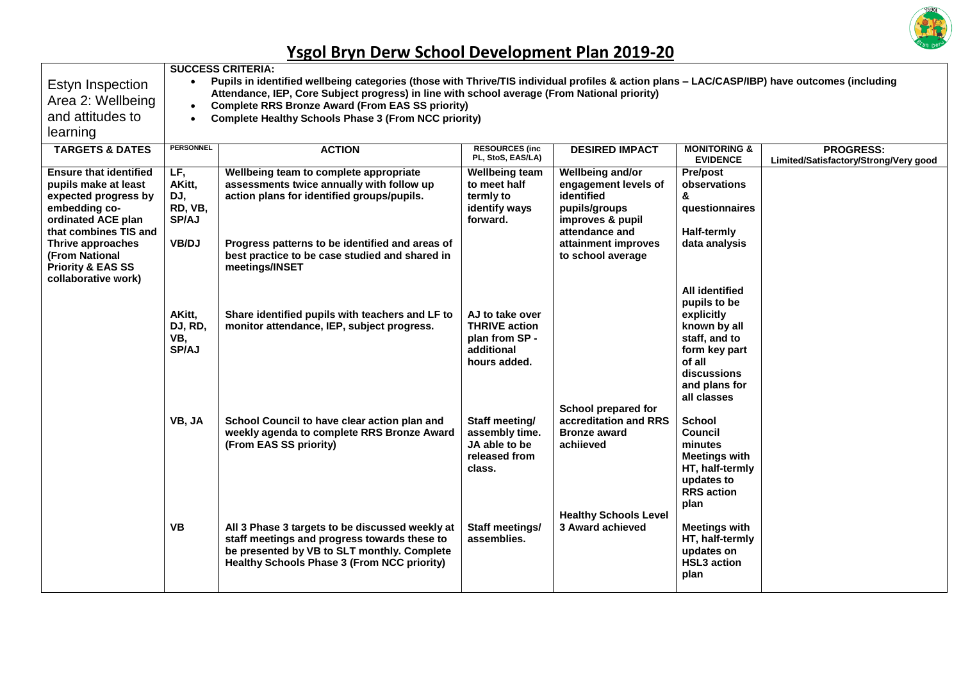

|                                                                                                                                                                                                                                             | <b>SUCCESS CRITERIA:</b>                                                                                                                                                                                                                                  |                                                                                                                                                                                                                                                          |                                                                                         |                                                                                                                                                           |                                                                                                                                                                |                                                           |  |  |  |  |
|---------------------------------------------------------------------------------------------------------------------------------------------------------------------------------------------------------------------------------------------|-----------------------------------------------------------------------------------------------------------------------------------------------------------------------------------------------------------------------------------------------------------|----------------------------------------------------------------------------------------------------------------------------------------------------------------------------------------------------------------------------------------------------------|-----------------------------------------------------------------------------------------|-----------------------------------------------------------------------------------------------------------------------------------------------------------|----------------------------------------------------------------------------------------------------------------------------------------------------------------|-----------------------------------------------------------|--|--|--|--|
| Estyn Inspection                                                                                                                                                                                                                            | Pupils in identified wellbeing categories (those with Thrive/TIS individual profiles & action plans - LAC/CASP/IBP) have outcomes (including<br>$\bullet$<br>Attendance, IEP, Core Subject progress) in line with school average (From National priority) |                                                                                                                                                                                                                                                          |                                                                                         |                                                                                                                                                           |                                                                                                                                                                |                                                           |  |  |  |  |
| Area 2: Wellbeing                                                                                                                                                                                                                           | <b>Complete RRS Bronze Award (From EAS SS priority)</b><br>$\bullet$                                                                                                                                                                                      |                                                                                                                                                                                                                                                          |                                                                                         |                                                                                                                                                           |                                                                                                                                                                |                                                           |  |  |  |  |
| and attitudes to                                                                                                                                                                                                                            | $\bullet$                                                                                                                                                                                                                                                 | <b>Complete Healthy Schools Phase 3 (From NCC priority)</b>                                                                                                                                                                                              |                                                                                         |                                                                                                                                                           |                                                                                                                                                                |                                                           |  |  |  |  |
| learning                                                                                                                                                                                                                                    |                                                                                                                                                                                                                                                           |                                                                                                                                                                                                                                                          |                                                                                         |                                                                                                                                                           |                                                                                                                                                                |                                                           |  |  |  |  |
| <b>TARGETS &amp; DATES</b>                                                                                                                                                                                                                  | <b>PERSONNEL</b>                                                                                                                                                                                                                                          | <b>ACTION</b>                                                                                                                                                                                                                                            | <b>RESOURCES (inc.</b><br>PL, StoS, EAS/LA)                                             | <b>DESIRED IMPACT</b>                                                                                                                                     | <b>MONITORING &amp;</b><br><b>EVIDENCE</b>                                                                                                                     | <b>PROGRESS:</b><br>Limited/Satisfactory/Strong/Very good |  |  |  |  |
| <b>Ensure that identified</b><br>pupils make at least<br>expected progress by<br>embedding co-<br>ordinated ACE plan<br>that combines TIS and<br>Thrive approaches<br>(From National<br><b>Priority &amp; EAS SS</b><br>collaborative work) | LF,<br>AKitt,<br>DJ,<br>RD, VB,<br><b>SP/AJ</b><br>VB/DJ                                                                                                                                                                                                  | Wellbeing team to complete appropriate<br>assessments twice annually with follow up<br>action plans for identified groups/pupils.<br>Progress patterns to be identified and areas of<br>best practice to be case studied and shared in<br>meetings/INSET | <b>Wellbeing team</b><br>to meet half<br>termly to<br>identify ways<br>forward.         | Wellbeing and/or<br>engagement levels of<br>identified<br>pupils/groups<br>improves & pupil<br>attendance and<br>attainment improves<br>to school average | Pre/post<br>observations<br>&<br>questionnaires<br>Half-termly<br>data analysis                                                                                |                                                           |  |  |  |  |
|                                                                                                                                                                                                                                             | AKitt,<br>DJ, RD,<br>VB,<br>SP/AJ                                                                                                                                                                                                                         | Share identified pupils with teachers and LF to<br>monitor attendance, IEP, subject progress.                                                                                                                                                            | AJ to take over<br><b>THRIVE action</b><br>plan from SP -<br>additional<br>hours added. |                                                                                                                                                           | <b>All identified</b><br>pupils to be<br>explicitly<br>known by all<br>staff, and to<br>form key part<br>of all<br>discussions<br>and plans for<br>all classes |                                                           |  |  |  |  |
|                                                                                                                                                                                                                                             | VB, JA                                                                                                                                                                                                                                                    | School Council to have clear action plan and<br>weekly agenda to complete RRS Bronze Award<br>(From EAS SS priority)                                                                                                                                     | Staff meeting/<br>assembly time.<br>JA able to be<br>released from<br>class.            | School prepared for<br>accreditation and RRS<br><b>Bronze award</b><br>achiieved                                                                          | <b>School</b><br>Council<br>minutes<br><b>Meetings with</b><br>HT, half-termly<br>updates to<br><b>RRS</b> action                                              |                                                           |  |  |  |  |
|                                                                                                                                                                                                                                             | <b>VB</b>                                                                                                                                                                                                                                                 | All 3 Phase 3 targets to be discussed weekly at<br>staff meetings and progress towards these to<br>be presented by VB to SLT monthly. Complete<br><b>Healthy Schools Phase 3 (From NCC priority)</b>                                                     | Staff meetings/<br>assemblies.                                                          | <b>Healthy Schools Level</b><br>3 Award achieved                                                                                                          | plan<br><b>Meetings with</b><br>HT, half-termly<br>updates on<br><b>HSL3</b> action<br>plan                                                                    |                                                           |  |  |  |  |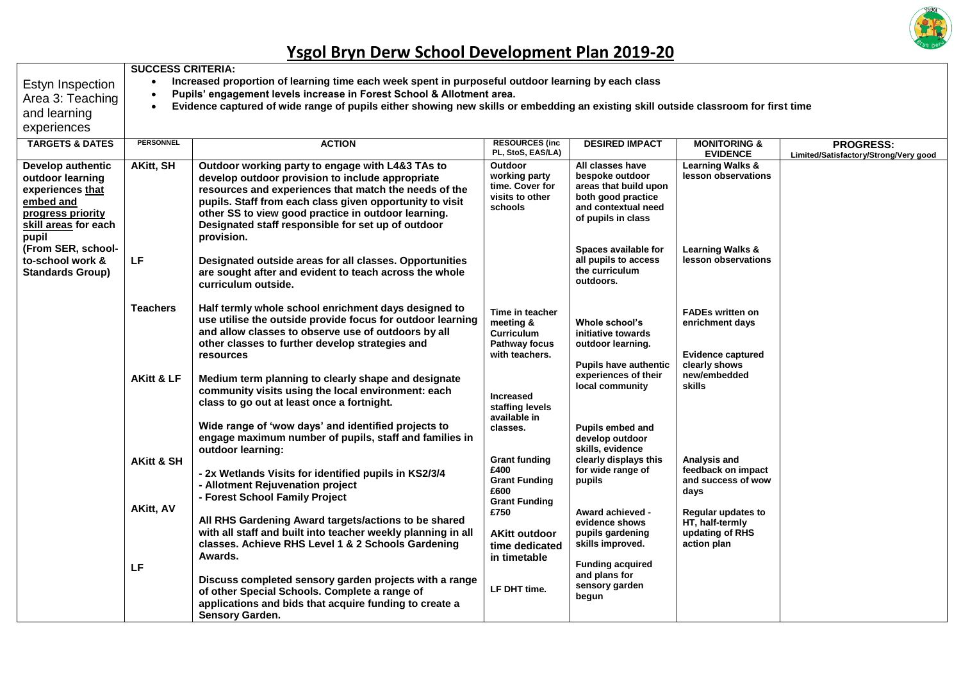

Г

|                                                                                                                              | <b>SUCCESS CRITERIA:</b>                                                                                                                                                                                                                                                                                           |                                                                                                                                                                                                                                                                                                                                                      |                                                                                      |                                                                                                                                 |                                                                                         |                                                           |  |  |  |
|------------------------------------------------------------------------------------------------------------------------------|--------------------------------------------------------------------------------------------------------------------------------------------------------------------------------------------------------------------------------------------------------------------------------------------------------------------|------------------------------------------------------------------------------------------------------------------------------------------------------------------------------------------------------------------------------------------------------------------------------------------------------------------------------------------------------|--------------------------------------------------------------------------------------|---------------------------------------------------------------------------------------------------------------------------------|-----------------------------------------------------------------------------------------|-----------------------------------------------------------|--|--|--|
| Estyn Inspection<br>Area 3: Teaching<br>and learning<br>experiences                                                          | Increased proportion of learning time each week spent in purposeful outdoor learning by each class<br>Pupils' engagement levels increase in Forest School & Allotment area.<br>Evidence captured of wide range of pupils either showing new skills or embedding an existing skill outside classroom for first time |                                                                                                                                                                                                                                                                                                                                                      |                                                                                      |                                                                                                                                 |                                                                                         |                                                           |  |  |  |
| <b>TARGETS &amp; DATES</b>                                                                                                   | <b>PERSONNEL</b>                                                                                                                                                                                                                                                                                                   | <b>ACTION</b>                                                                                                                                                                                                                                                                                                                                        | <b>RESOURCES (inc.</b><br>PL, StoS, EAS/LA)                                          | <b>DESIRED IMPACT</b>                                                                                                           | <b>MONITORING &amp;</b><br><b>EVIDENCE</b>                                              | <b>PROGRESS:</b><br>Limited/Satisfactory/Strong/Very good |  |  |  |
| Develop authentic<br>outdoor learning<br>experiences that<br>embed and<br>progress priority<br>skill areas for each<br>pupil | <b>AKitt, SH</b>                                                                                                                                                                                                                                                                                                   | Outdoor working party to engage with L4&3 TAs to<br>develop outdoor provision to include appropriate<br>resources and experiences that match the needs of the<br>pupils. Staff from each class given opportunity to visit<br>other SS to view good practice in outdoor learning.<br>Designated staff responsible for set up of outdoor<br>provision. | Outdoor<br>working party<br>time. Cover for<br>visits to other<br>schools            | All classes have<br>bespoke outdoor<br>areas that build upon<br>both good practice<br>and contextual need<br>of pupils in class | <b>Learning Walks &amp;</b><br>lesson observations                                      |                                                           |  |  |  |
| (From SER, school-<br>to-school work &<br><b>Standards Group)</b>                                                            | LF                                                                                                                                                                                                                                                                                                                 | Designated outside areas for all classes. Opportunities<br>are sought after and evident to teach across the whole<br>curriculum outside.                                                                                                                                                                                                             |                                                                                      | Spaces available for<br>all pupils to access<br>the curriculum<br>outdoors.                                                     | <b>Learning Walks &amp;</b><br>lesson observations                                      |                                                           |  |  |  |
|                                                                                                                              | <b>Teachers</b>                                                                                                                                                                                                                                                                                                    | Half termly whole school enrichment days designed to<br>use utilise the outside provide focus for outdoor learning<br>and allow classes to observe use of outdoors by all<br>other classes to further develop strategies and<br>resources                                                                                                            | Time in teacher<br>meeting &<br><b>Curriculum</b><br>Pathway focus<br>with teachers. | Whole school's<br>initiative towards<br>outdoor learning.<br><b>Pupils have authentic</b>                                       | <b>FADEs written on</b><br>enrichment days<br><b>Evidence captured</b><br>clearly shows |                                                           |  |  |  |
|                                                                                                                              | <b>AKitt &amp; LF</b>                                                                                                                                                                                                                                                                                              | Medium term planning to clearly shape and designate<br>community visits using the local environment: each<br>class to go out at least once a fortnight.<br>Wide range of 'wow days' and identified projects to                                                                                                                                       | <b>Increased</b><br>staffing levels<br>available in<br>classes.                      | experiences of their<br>local community<br>Pupils embed and                                                                     | new/embedded<br>skills                                                                  |                                                           |  |  |  |
|                                                                                                                              | <b>AKitt &amp; SH</b>                                                                                                                                                                                                                                                                                              | engage maximum number of pupils, staff and families in<br>outdoor learning:<br>- 2x Wetlands Visits for identified pupils in KS2/3/4<br>- Allotment Rejuvenation project<br>- Forest School Family Project                                                                                                                                           | <b>Grant funding</b><br>£400<br><b>Grant Funding</b><br>£600<br><b>Grant Funding</b> | develop outdoor<br>skills, evidence<br>clearly displays this<br>for wide range of<br>pupils                                     | Analysis and<br>feedback on impact<br>and success of wow<br>days                        |                                                           |  |  |  |
|                                                                                                                              | <b>AKitt, AV</b>                                                                                                                                                                                                                                                                                                   | All RHS Gardening Award targets/actions to be shared<br>with all staff and built into teacher weekly planning in all<br>classes. Achieve RHS Level 1 & 2 Schools Gardening<br>Awards.                                                                                                                                                                | £750<br><b>AKitt outdoor</b><br>time dedicated<br>in timetable                       | Award achieved -<br>evidence shows<br>pupils gardening<br>skills improved.<br><b>Funding acquired</b>                           | Regular updates to<br>HT, half-termly<br>updating of RHS<br>action plan                 |                                                           |  |  |  |
|                                                                                                                              | LF                                                                                                                                                                                                                                                                                                                 | Discuss completed sensory garden projects with a range<br>of other Special Schools. Complete a range of<br>applications and bids that acquire funding to create a<br>Sensory Garden.                                                                                                                                                                 | LF DHT time.                                                                         | and plans for<br>sensory garden<br>begun                                                                                        |                                                                                         |                                                           |  |  |  |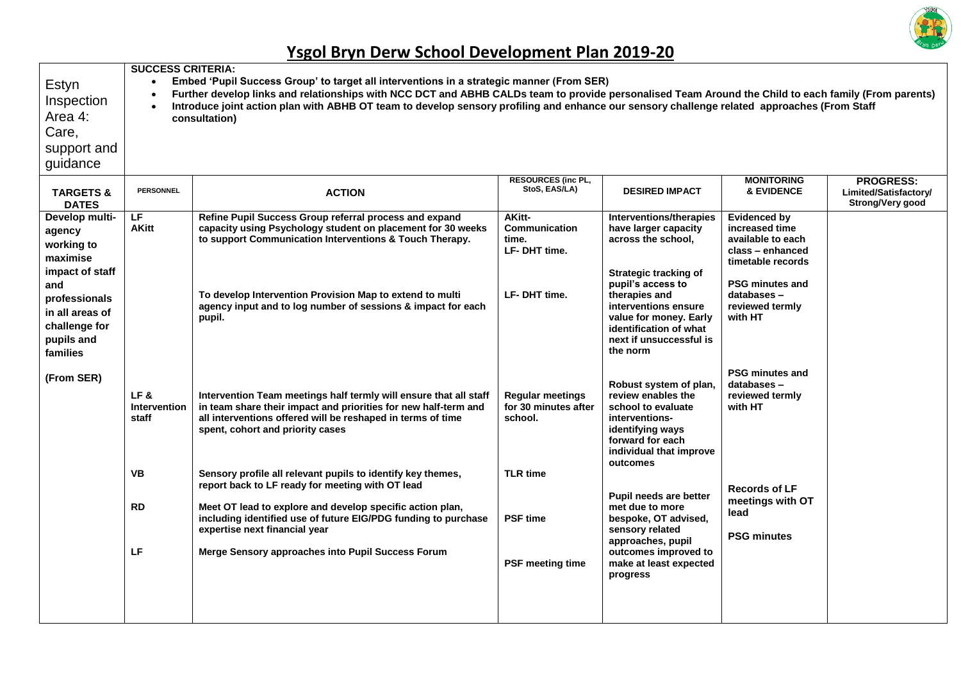

| Estyn<br>Inspection<br>Area 4:<br>Care,<br>support and<br>guidance           | $\bullet$<br>$\bullet$              | <b>SUCCESS CRITERIA:</b><br>Embed 'Pupil Success Group' to target all interventions in a strategic manner (From SER)<br>Further develop links and relationships with NCC DCT and ABHB CALDs team to provide personalised Team Around the Child to each family (From parents)<br>Introduce joint action plan with ABHB OT team to develop sensory profiling and enhance our sensory challenge related approaches (From Staff<br>consultation) |                                                            |                                                                                                                                                                     |                                                                                                                               |                                                               |  |  |  |  |
|------------------------------------------------------------------------------|-------------------------------------|----------------------------------------------------------------------------------------------------------------------------------------------------------------------------------------------------------------------------------------------------------------------------------------------------------------------------------------------------------------------------------------------------------------------------------------------|------------------------------------------------------------|---------------------------------------------------------------------------------------------------------------------------------------------------------------------|-------------------------------------------------------------------------------------------------------------------------------|---------------------------------------------------------------|--|--|--|--|
| <b>TARGETS &amp;</b><br><b>DATES</b>                                         | <b>PERSONNEL</b>                    | <b>ACTION</b>                                                                                                                                                                                                                                                                                                                                                                                                                                | <b>RESOURCES (inc PL,</b><br>StoS, EAS/LA)                 | <b>DESIRED IMPACT</b>                                                                                                                                               | <b>MONITORING</b><br><b>&amp; EVIDENCE</b>                                                                                    | <b>PROGRESS:</b><br>Limited/Satisfactory/<br>Strong/Very good |  |  |  |  |
| Develop multi-<br>agency<br>working to<br>maximise<br>impact of staff<br>and | LF<br><b>AKitt</b>                  | Refine Pupil Success Group referral process and expand<br>capacity using Psychology student on placement for 30 weeks<br>to support Communication Interventions & Touch Therapy.                                                                                                                                                                                                                                                             | AKitt-<br><b>Communication</b><br>time.<br>LF-DHT time.    | Interventions/therapies<br>have larger capacity<br>across the school,<br><b>Strategic tracking of</b><br>pupil's access to                                          | <b>Evidenced by</b><br>increased time<br>available to each<br>class - enhanced<br>timetable records<br><b>PSG minutes and</b> |                                                               |  |  |  |  |
| professionals<br>in all areas of<br>challenge for<br>pupils and<br>families  |                                     | To develop Intervention Provision Map to extend to multi<br>agency input and to log number of sessions & impact for each<br>pupil.                                                                                                                                                                                                                                                                                                           | LF-DHT time.                                               | therapies and<br>interventions ensure<br>value for money. Early<br>identification of what<br>next if unsuccessful is<br>the norm                                    | databases-<br>reviewed termly<br>with HT                                                                                      |                                                               |  |  |  |  |
| (From SER)                                                                   | LF&<br><b>Intervention</b><br>staff | Intervention Team meetings half termly will ensure that all staff<br>in team share their impact and priorities for new half-term and<br>all interventions offered will be reshaped in terms of time<br>spent, cohort and priority cases                                                                                                                                                                                                      | <b>Regular meetings</b><br>for 30 minutes after<br>school. | Robust system of plan,<br>review enables the<br>school to evaluate<br>interventions-<br>identifying ways<br>forward for each<br>individual that improve<br>outcomes | <b>PSG minutes and</b><br>databases-<br>reviewed termly<br>with HT                                                            |                                                               |  |  |  |  |
|                                                                              | VB                                  | Sensory profile all relevant pupils to identify key themes,<br>report back to LF ready for meeting with OT lead<br>Meet OT lead to explore and develop specific action plan,<br>including identified use of future EIG/PDG funding to purchase<br>expertise next financial year                                                                                                                                                              | <b>TLR</b> time                                            | Pupil needs are better                                                                                                                                              | <b>Records of LF</b><br>meetings with OT                                                                                      |                                                               |  |  |  |  |
| <b>RD</b>                                                                    |                                     |                                                                                                                                                                                                                                                                                                                                                                                                                                              | <b>PSF time</b>                                            | met due to more<br>bespoke, OT advised,<br>sensory related<br>approaches, pupil                                                                                     | lead<br><b>PSG minutes</b>                                                                                                    |                                                               |  |  |  |  |
|                                                                              | LF                                  | Merge Sensory approaches into Pupil Success Forum                                                                                                                                                                                                                                                                                                                                                                                            | <b>PSF meeting time</b>                                    | outcomes improved to<br>make at least expected<br>progress                                                                                                          |                                                                                                                               |                                                               |  |  |  |  |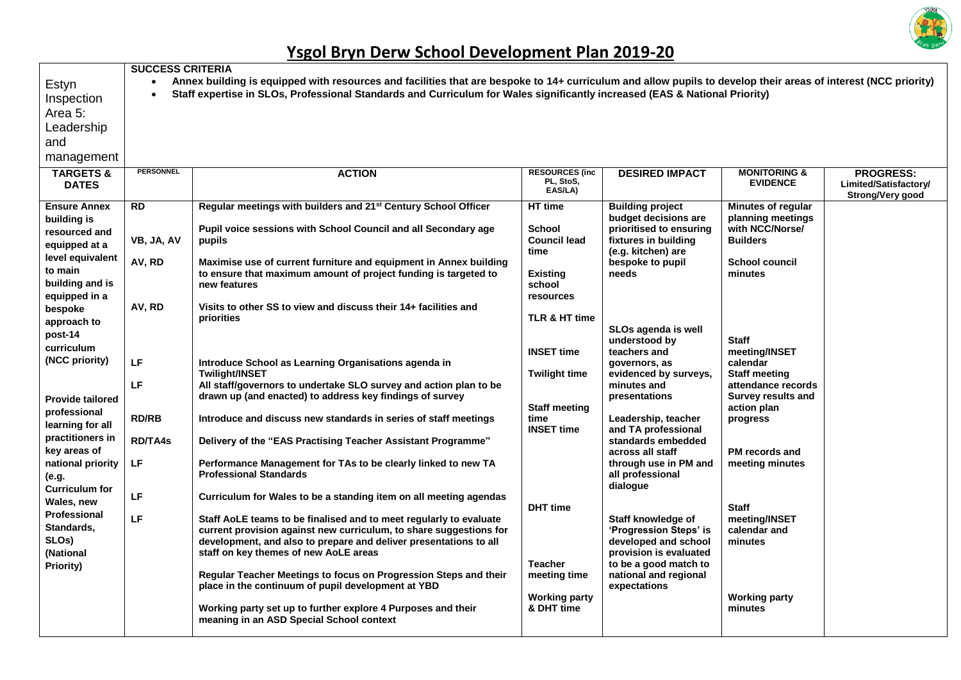

|                                                     | <b>SUCCESS CRITERIA</b> |                                                                                                                                                                                                                                                                                              |                                               |                                                       |                                            |                                                               |  |  |  |  |  |
|-----------------------------------------------------|-------------------------|----------------------------------------------------------------------------------------------------------------------------------------------------------------------------------------------------------------------------------------------------------------------------------------------|-----------------------------------------------|-------------------------------------------------------|--------------------------------------------|---------------------------------------------------------------|--|--|--|--|--|
| Estyn<br>Inspection<br>Area 5:                      | $\bullet$               | Annex building is equipped with resources and facilities that are bespoke to 14+ curriculum and allow pupils to develop their areas of interest (NCC priority)<br>Staff expertise in SLOs, Professional Standards and Curriculum for Wales significantly increased (EAS & National Priority) |                                               |                                                       |                                            |                                                               |  |  |  |  |  |
| Leadership                                          |                         |                                                                                                                                                                                                                                                                                              |                                               |                                                       |                                            |                                                               |  |  |  |  |  |
| and                                                 |                         |                                                                                                                                                                                                                                                                                              |                                               |                                                       |                                            |                                                               |  |  |  |  |  |
|                                                     |                         |                                                                                                                                                                                                                                                                                              |                                               |                                                       |                                            |                                                               |  |  |  |  |  |
| management                                          |                         |                                                                                                                                                                                                                                                                                              |                                               |                                                       |                                            |                                                               |  |  |  |  |  |
| <b>TARGETS &amp;</b><br><b>DATES</b>                | <b>PERSONNEL</b>        | <b>ACTION</b>                                                                                                                                                                                                                                                                                | <b>RESOURCES (inc</b><br>PL, StoS,<br>EAS/LA) | <b>DESIRED IMPACT</b>                                 | <b>MONITORING &amp;</b><br><b>EVIDENCE</b> | <b>PROGRESS:</b><br>Limited/Satisfactory/<br>Strong/Very good |  |  |  |  |  |
| <b>Ensure Annex</b>                                 | <b>RD</b>               | Regular meetings with builders and 21 <sup>st</sup> Century School Officer                                                                                                                                                                                                                   | HT time                                       | <b>Building project</b>                               | <b>Minutes of regular</b>                  |                                                               |  |  |  |  |  |
| building is                                         |                         | Pupil voice sessions with School Council and all Secondary age                                                                                                                                                                                                                               | <b>School</b>                                 | budget decisions are<br>prioritised to ensuring       | planning meetings<br>with NCC/Norse/       |                                                               |  |  |  |  |  |
| resourced and                                       | VB, JA, AV              | pupils                                                                                                                                                                                                                                                                                       | <b>Council lead</b>                           | fixtures in building                                  | <b>Builders</b>                            |                                                               |  |  |  |  |  |
| equipped at a                                       |                         |                                                                                                                                                                                                                                                                                              | time                                          | (e.g. kitchen) are                                    |                                            |                                                               |  |  |  |  |  |
| level equivalent                                    | AV, RD                  | Maximise use of current furniture and equipment in Annex building                                                                                                                                                                                                                            |                                               | bespoke to pupil                                      | <b>School council</b>                      |                                                               |  |  |  |  |  |
| to main<br>building and is                          |                         | to ensure that maximum amount of project funding is targeted to                                                                                                                                                                                                                              | <b>Existing</b>                               | needs                                                 | minutes                                    |                                                               |  |  |  |  |  |
| equipped in a                                       |                         | new features                                                                                                                                                                                                                                                                                 | school<br>resources                           |                                                       |                                            |                                                               |  |  |  |  |  |
| bespoke                                             | AV, RD                  | Visits to other SS to view and discuss their 14+ facilities and                                                                                                                                                                                                                              |                                               |                                                       |                                            |                                                               |  |  |  |  |  |
| approach to                                         |                         | priorities                                                                                                                                                                                                                                                                                   | TLR & HT time                                 |                                                       |                                            |                                                               |  |  |  |  |  |
| post-14                                             |                         |                                                                                                                                                                                                                                                                                              |                                               | SLOs agenda is well                                   |                                            |                                                               |  |  |  |  |  |
| curriculum                                          |                         |                                                                                                                                                                                                                                                                                              | <b>INSET time</b>                             | understood by<br>teachers and                         | <b>Staff</b><br>meeting/INSET              |                                                               |  |  |  |  |  |
| (NCC priority)                                      | LF                      | Introduce School as Learning Organisations agenda in                                                                                                                                                                                                                                         |                                               | governors, as                                         | calendar                                   |                                                               |  |  |  |  |  |
|                                                     |                         | <b>Twilight/INSET</b>                                                                                                                                                                                                                                                                        | <b>Twilight time</b>                          | evidenced by surveys,                                 | <b>Staff meeting</b>                       |                                                               |  |  |  |  |  |
|                                                     | LF                      | All staff/governors to undertake SLO survey and action plan to be                                                                                                                                                                                                                            |                                               | minutes and                                           | attendance records                         |                                                               |  |  |  |  |  |
| <b>Provide tailored</b>                             |                         | drawn up (and enacted) to address key findings of survey                                                                                                                                                                                                                                     | <b>Staff meeting</b>                          | presentations                                         | <b>Survey results and</b><br>action plan   |                                                               |  |  |  |  |  |
| professional                                        | <b>RD/RB</b>            | Introduce and discuss new standards in series of staff meetings                                                                                                                                                                                                                              | time                                          | Leadership, teacher                                   | progress                                   |                                                               |  |  |  |  |  |
| learning for all                                    |                         |                                                                                                                                                                                                                                                                                              | <b>INSET time</b>                             | and TA professional                                   |                                            |                                                               |  |  |  |  |  |
| practitioners in                                    | <b>RD/TA4s</b>          | Delivery of the "EAS Practising Teacher Assistant Programme"                                                                                                                                                                                                                                 |                                               | standards embedded                                    |                                            |                                                               |  |  |  |  |  |
| key areas of                                        |                         |                                                                                                                                                                                                                                                                                              |                                               | across all staff                                      | <b>PM</b> records and                      |                                                               |  |  |  |  |  |
| national priority<br>(e.g.<br><b>Curriculum for</b> | LF                      | Performance Management for TAs to be clearly linked to new TA<br><b>Professional Standards</b>                                                                                                                                                                                               |                                               | through use in PM and<br>all professional<br>dialogue | meeting minutes                            |                                                               |  |  |  |  |  |
| Wales, new                                          | LF                      | Curriculum for Wales to be a standing item on all meeting agendas                                                                                                                                                                                                                            |                                               |                                                       |                                            |                                                               |  |  |  |  |  |
| Professional                                        |                         |                                                                                                                                                                                                                                                                                              | <b>DHT</b> time                               |                                                       | <b>Staff</b>                               |                                                               |  |  |  |  |  |
| Standards,                                          | LF                      | Staff AoLE teams to be finalised and to meet regularly to evaluate                                                                                                                                                                                                                           |                                               | Staff knowledge of                                    | meeting/INSET                              |                                                               |  |  |  |  |  |
| SLO <sub>s</sub> )                                  |                         | current provision against new curriculum, to share suggestions for<br>development, and also to prepare and deliver presentations to all                                                                                                                                                      |                                               | 'Progression Steps' is<br>developed and school        | calendar and<br>minutes                    |                                                               |  |  |  |  |  |
| (National                                           |                         | staff on key themes of new AoLE areas                                                                                                                                                                                                                                                        |                                               | provision is evaluated                                |                                            |                                                               |  |  |  |  |  |
| Priority)                                           |                         |                                                                                                                                                                                                                                                                                              | <b>Teacher</b>                                | to be a good match to                                 |                                            |                                                               |  |  |  |  |  |
|                                                     |                         | Regular Teacher Meetings to focus on Progression Steps and their                                                                                                                                                                                                                             | meeting time                                  | national and regional                                 |                                            |                                                               |  |  |  |  |  |
|                                                     |                         | place in the continuum of pupil development at YBD                                                                                                                                                                                                                                           | <b>Working party</b>                          | expectations                                          | <b>Working party</b>                       |                                                               |  |  |  |  |  |
|                                                     |                         | Working party set up to further explore 4 Purposes and their<br>meaning in an ASD Special School context                                                                                                                                                                                     | & DHT time                                    |                                                       | minutes                                    |                                                               |  |  |  |  |  |
|                                                     |                         |                                                                                                                                                                                                                                                                                              |                                               |                                                       |                                            |                                                               |  |  |  |  |  |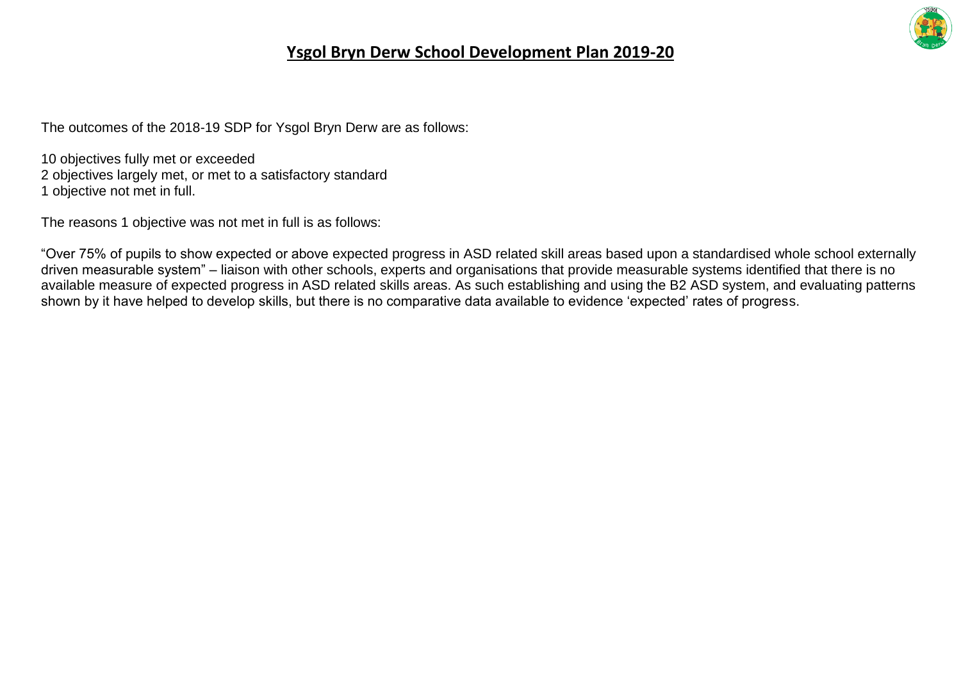

The outcomes of the 2018-19 SDP for Ysgol Bryn Derw are as follows:

10 objectives fully met or exceeded 2 objectives largely met, or met to a satisfactory standard 1 objective not met in full.

The reasons 1 objective was not met in full is as follows:

"Over 75% of pupils to show expected or above expected progress in ASD related skill areas based upon a standardised whole school externally driven measurable system" – liaison with other schools, experts and organisations that provide measurable systems identified that there is no available measure of expected progress in ASD related skills areas. As such establishing and using the B2 ASD system, and evaluating patterns shown by it have helped to develop skills, but there is no comparative data available to evidence 'expected' rates of progress.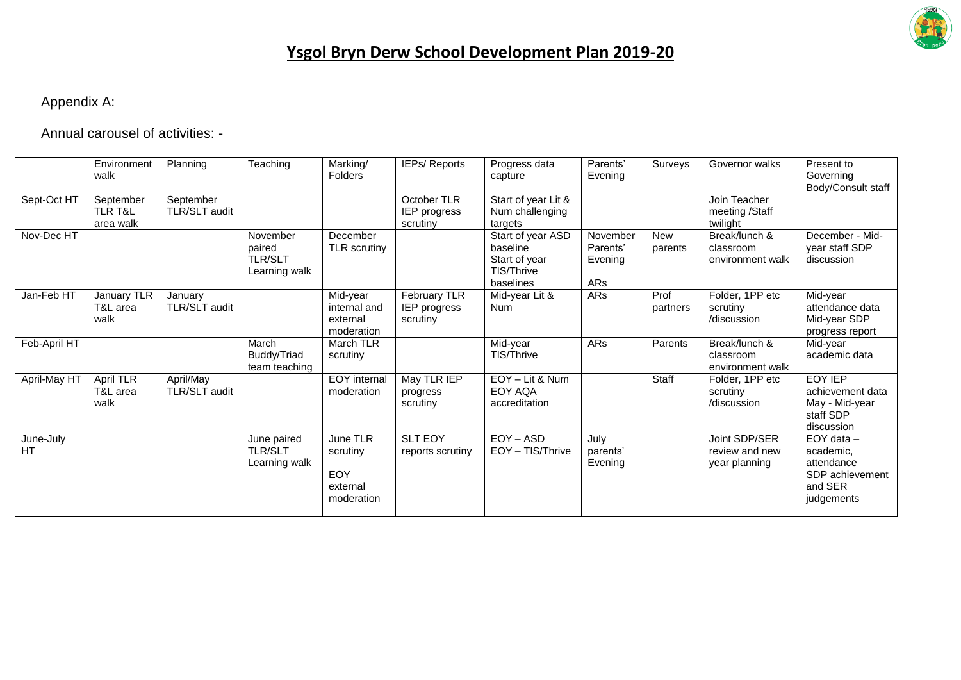

#### Appendix A:

Annual carousel of activities: -

|                 | Environment<br>walk                          | Planning                   | Teaching                                              | Marking/<br>Folders                                          | IEPs/ Reports                            | Progress data<br>capture                                                  | Parents'<br>Evening                    | Surveys               | Governor walks                                   | Present to<br>Governing<br>Body/Consult staff                                         |
|-----------------|----------------------------------------------|----------------------------|-------------------------------------------------------|--------------------------------------------------------------|------------------------------------------|---------------------------------------------------------------------------|----------------------------------------|-----------------------|--------------------------------------------------|---------------------------------------------------------------------------------------|
| Sept-Oct HT     | September<br><b>TLR T&amp;L</b><br>area walk | September<br>TLR/SLT audit |                                                       |                                                              | October TLR<br>IEP progress<br>scrutiny  | Start of year Lit &<br>Num challenging<br>targets                         |                                        |                       | Join Teacher<br>meeting /Staff<br>twilight       |                                                                                       |
| Nov-Dec HT      |                                              |                            | November<br>paired<br><b>TLR/SLT</b><br>Learning walk | December<br>TLR scrutiny                                     |                                          | Start of year ASD<br>baseline<br>Start of year<br>TIS/Thrive<br>baselines | November<br>Parents'<br>Evening<br>ARs | <b>New</b><br>parents | Break/lunch &<br>classroom<br>environment walk   | December - Mid-<br>year staff SDP<br>discussion                                       |
| Jan-Feb HT      | <b>January TLR</b><br>T&L area<br>walk       | January<br>TLR/SLT audit   |                                                       | Mid-year<br>internal and<br>external<br>moderation           | February TLR<br>IEP progress<br>scrutiny | Mid-year Lit &<br><b>Num</b>                                              | ARs                                    | Prof<br>partners      | Folder, 1PP etc<br>scrutiny<br>/discussion       | Mid-year<br>attendance data<br>Mid-year SDP<br>progress report                        |
| Feb-April HT    |                                              |                            | March<br>Buddy/Triad<br>team teaching                 | March TLR<br>scrutiny                                        |                                          | Mid-year<br>TIS/Thrive                                                    | ARs                                    | Parents               | Break/lunch &<br>classroom<br>environment walk   | Mid-year<br>academic data                                                             |
| April-May HT    | April TLR<br>T&L area<br>walk                | April/May<br>TLR/SLT audit |                                                       | EOY internal<br>moderation                                   | May TLR IEP<br>progress<br>scrutiny      | EOY - Lit & Num<br>EOY AQA<br>accreditation                               |                                        | Staff                 | Folder, 1PP etc<br>scrutiny<br>/discussion       | <b>FOY IFP</b><br>achievement data<br>May - Mid-year<br>staff SDP<br>discussion       |
| June-July<br>HТ |                                              |                            | June paired<br><b>TLR/SLT</b><br>Learning walk        | June TLR<br>scrutiny<br><b>EOY</b><br>external<br>moderation | <b>SLT EOY</b><br>reports scrutiny       | $EOY - ASD$<br>EOY - TIS/Thrive                                           | July<br>parents'<br>Evening            |                       | Joint SDP/SER<br>review and new<br>year planning | $EOY$ data $-$<br>academic.<br>attendance<br>SDP achievement<br>and SER<br>judgements |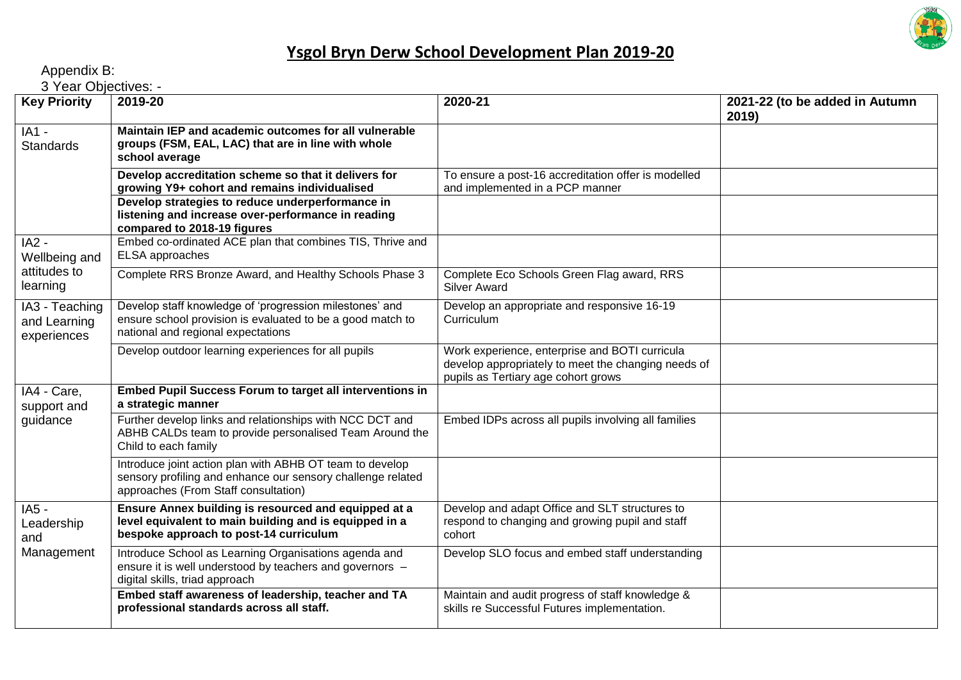

Appendix B:

3 Year Objectives: -

| <b>Key Priority</b>                           | 2019-20                                                                                                                                                         | 2020-21                                                                                                                                      | 2021-22 (to be added in Autumn<br>2019) |
|-----------------------------------------------|-----------------------------------------------------------------------------------------------------------------------------------------------------------------|----------------------------------------------------------------------------------------------------------------------------------------------|-----------------------------------------|
| $IA1 -$<br><b>Standards</b>                   | Maintain IEP and academic outcomes for all vulnerable<br>groups (FSM, EAL, LAC) that are in line with whole<br>school average                                   |                                                                                                                                              |                                         |
|                                               | Develop accreditation scheme so that it delivers for<br>growing Y9+ cohort and remains individualised                                                           | To ensure a post-16 accreditation offer is modelled<br>and implemented in a PCP manner                                                       |                                         |
|                                               | Develop strategies to reduce underperformance in<br>listening and increase over-performance in reading<br>compared to 2018-19 figures                           |                                                                                                                                              |                                         |
| $IA2 -$<br>Wellbeing and                      | Embed co-ordinated ACE plan that combines TIS, Thrive and<br>ELSA approaches                                                                                    |                                                                                                                                              |                                         |
| attitudes to<br>learning                      | Complete RRS Bronze Award, and Healthy Schools Phase 3                                                                                                          | Complete Eco Schools Green Flag award, RRS<br><b>Silver Award</b>                                                                            |                                         |
| IA3 - Teaching<br>and Learning<br>experiences | Develop staff knowledge of 'progression milestones' and<br>ensure school provision is evaluated to be a good match to<br>national and regional expectations     | Develop an appropriate and responsive 16-19<br>Curriculum                                                                                    |                                         |
|                                               | Develop outdoor learning experiences for all pupils                                                                                                             | Work experience, enterprise and BOTI curricula<br>develop appropriately to meet the changing needs of<br>pupils as Tertiary age cohort grows |                                         |
| IA4 - Care,<br>support and                    | <b>Embed Pupil Success Forum to target all interventions in</b><br>a strategic manner                                                                           |                                                                                                                                              |                                         |
| guidance                                      | Further develop links and relationships with NCC DCT and<br>ABHB CALDs team to provide personalised Team Around the<br>Child to each family                     | Embed IDPs across all pupils involving all families                                                                                          |                                         |
|                                               | Introduce joint action plan with ABHB OT team to develop<br>sensory profiling and enhance our sensory challenge related<br>approaches (From Staff consultation) |                                                                                                                                              |                                         |
| $IA5 -$<br>Leadership<br>and<br>Management    | Ensure Annex building is resourced and equipped at a<br>level equivalent to main building and is equipped in a<br>bespoke approach to post-14 curriculum        | Develop and adapt Office and SLT structures to<br>respond to changing and growing pupil and staff<br>cohort                                  |                                         |
|                                               | Introduce School as Learning Organisations agenda and<br>ensure it is well understood by teachers and governors -<br>digital skills, triad approach             | Develop SLO focus and embed staff understanding                                                                                              |                                         |
|                                               | Embed staff awareness of leadership, teacher and TA<br>professional standards across all staff.                                                                 | Maintain and audit progress of staff knowledge &<br>skills re Successful Futures implementation.                                             |                                         |